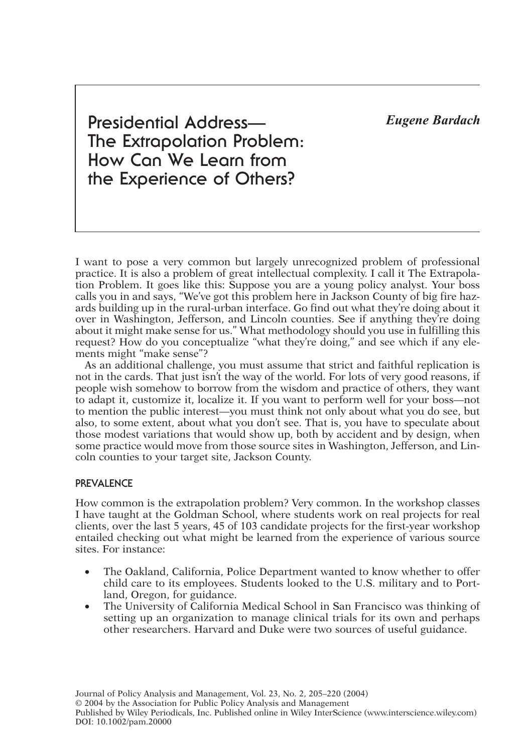**Presidential Address—** *Eugene Bardach* **The Extrapolation Problem: How Can We Learn from the Experience of Others?**

I want to pose a very common but largely unrecognized problem of professional practice. It is also a problem of great intellectual complexity. I call it The Extrapolation Problem. It goes like this: Suppose you are a young policy analyst. Your boss calls you in and says, "We've got this problem here in Jackson County of big fire hazards building up in the rural-urban interface. Go find out what they're doing about it over in Washington, Jefferson, and Lincoln counties. See if anything they're doing about it might make sense for us." What methodology should you use in fulfilling this request? How do you conceptualize "what they're doing," and see which if any elements might "make sense"?

As an additional challenge, you must assume that strict and faithful replication is not in the cards. That just isn't the way of the world. For lots of very good reasons, if people wish somehow to borrow from the wisdom and practice of others, they want to adapt it, customize it, localize it. If you want to perform well for your boss—not to mention the public interest—you must think not only about what you do see, but also, to some extent, about what you don't see. That is, you have to speculate about those modest variations that would show up, both by accident and by design, when some practice would move from those source sites in Washington, Jefferson, and Lincoln counties to your target site, Jackson County.

## **PREVALENCE**

How common is the extrapolation problem? Very common. In the workshop classes I have taught at the Goldman School, where students work on real projects for real clients, over the last 5 years, 45 of 103 candidate projects for the first-year workshop entailed checking out what might be learned from the experience of various source sites. For instance:

- The Oakland, California, Police Department wanted to know whether to offer child care to its employees. Students looked to the U.S. military and to Portland, Oregon, for guidance.
- The University of California Medical School in San Francisco was thinking of setting up an organization to manage clinical trials for its own and perhaps other researchers. Harvard and Duke were two sources of useful guidance.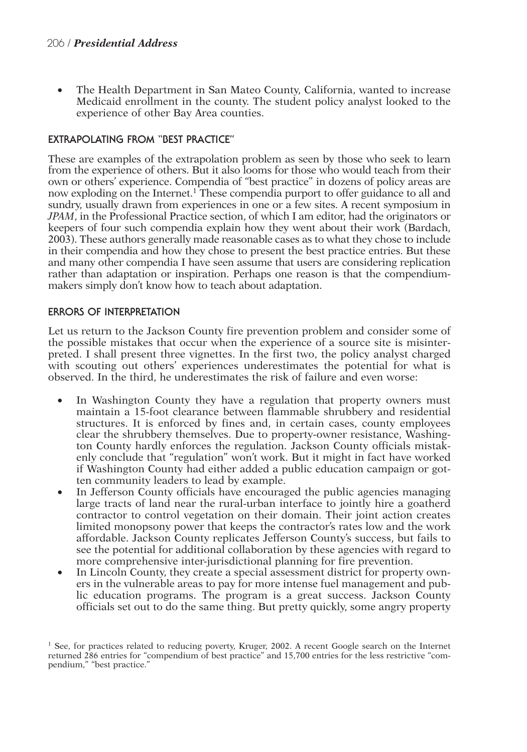• The Health Department in San Mateo County, California, wanted to increase Medicaid enrollment in the county. The student policy analyst looked to the experience of other Bay Area counties.

# **EXTRAPOLATING FROM "BEST PRACTICE"**

These are examples of the extrapolation problem as seen by those who seek to learn from the experience of others. But it also looms for those who would teach from their own or others' experience. Compendia of "best practice" in dozens of policy areas are now exploding on the Internet.1 These compendia purport to offer guidance to all and sundry, usually drawn from experiences in one or a few sites. A recent symposium in *JPAM*, in the Professional Practice section, of which I am editor, had the originators or keepers of four such compendia explain how they went about their work (Bardach, 2003). These authors generally made reasonable cases as to what they chose to include in their compendia and how they chose to present the best practice entries. But these and many other compendia I have seen assume that users are considering replication rather than adaptation or inspiration. Perhaps one reason is that the compendiummakers simply don't know how to teach about adaptation.

## **ERRORS OF INTERPRETATION**

Let us return to the Jackson County fire prevention problem and consider some of the possible mistakes that occur when the experience of a source site is misinterpreted. I shall present three vignettes. In the first two, the policy analyst charged with scouting out others' experiences underestimates the potential for what is observed. In the third, he underestimates the risk of failure and even worse:

- In Washington County they have a regulation that property owners must maintain a 15-foot clearance between flammable shrubbery and residential structures. It is enforced by fines and, in certain cases, county employees clear the shrubbery themselves. Due to property-owner resistance, Washington County hardly enforces the regulation. Jackson County officials mistakenly conclude that "regulation" won't work. But it might in fact have worked if Washington County had either added a public education campaign or gotten community leaders to lead by example.
- In Jefferson County officials have encouraged the public agencies managing large tracts of land near the rural-urban interface to jointly hire a goatherd contractor to control vegetation on their domain. Their joint action creates limited monopsony power that keeps the contractor's rates low and the work affordable. Jackson County replicates Jefferson County's success, but fails to see the potential for additional collaboration by these agencies with regard to more comprehensive inter-jurisdictional planning for fire prevention.
- In Lincoln County, they create a special assessment district for property owners in the vulnerable areas to pay for more intense fuel management and public education programs. The program is a great success. Jackson County officials set out to do the same thing. But pretty quickly, some angry property

<sup>&</sup>lt;sup>1</sup> See, for practices related to reducing poverty, Kruger, 2002. A recent Google search on the Internet returned 286 entries for "compendium of best practice" and 15,700 entries for the less restrictive "compendium," "best practice."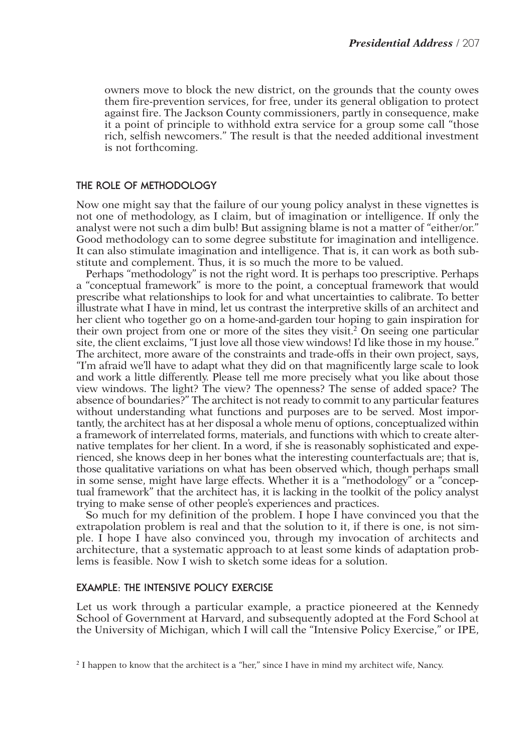owners move to block the new district, on the grounds that the county owes them fire-prevention services, for free, under its general obligation to protect against fire. The Jackson County commissioners, partly in consequence, make it a point of principle to withhold extra service for a group some call "those rich, selfish newcomers." The result is that the needed additional investment is not forthcoming.

#### **THE ROLE OF METHODOLOGY**

Now one might say that the failure of our young policy analyst in these vignettes is not one of methodology, as I claim, but of imagination or intelligence. If only the analyst were not such a dim bulb! But assigning blame is not a matter of "either/or." Good methodology can to some degree substitute for imagination and intelligence. It can also stimulate imagination and intelligence. That is, it can work as both substitute and complement. Thus, it is so much the more to be valued.

Perhaps "methodology" is not the right word. It is perhaps too prescriptive. Perhaps a "conceptual framework" is more to the point, a conceptual framework that would prescribe what relationships to look for and what uncertainties to calibrate. To better illustrate what I have in mind, let us contrast the interpretive skills of an architect and her client who together go on a home-and-garden tour hoping to gain inspiration for their own project from one or more of the sites they visit.2 On seeing one particular site, the client exclaims, "I just love all those view windows! I'd like those in my house." The architect, more aware of the constraints and trade-offs in their own project, says, "I'm afraid we'll have to adapt what they did on that magnificently large scale to look and work a little differently. Please tell me more precisely what you like about those view windows. The light? The view? The openness? The sense of added space? The absence of boundaries?" The architect is not ready to commit to any particular features without understanding what functions and purposes are to be served. Most importantly, the architect has at her disposal a whole menu of options, conceptualized within a framework of interrelated forms, materials, and functions with which to create alternative templates for her client. In a word, if she is reasonably sophisticated and experienced, she knows deep in her bones what the interesting counterfactuals are; that is, those qualitative variations on what has been observed which, though perhaps small in some sense, might have large effects. Whether it is a "methodology" or a "conceptual framework" that the architect has, it is lacking in the toolkit of the policy analyst trying to make sense of other people's experiences and practices.

So much for my definition of the problem. I hope I have convinced you that the extrapolation problem is real and that the solution to it, if there is one, is not simple. I hope I have also convinced you, through my invocation of architects and architecture, that a systematic approach to at least some kinds of adaptation problems is feasible. Now I wish to sketch some ideas for a solution.

### **EXAMPLE: THE INTENSIVE POLICY EXERCISE**

Let us work through a particular example, a practice pioneered at the Kennedy School of Government at Harvard, and subsequently adopted at the Ford School at the University of Michigan, which I will call the "Intensive Policy Exercise," or IPE,

<sup>2</sup> I happen to know that the architect is a "her," since I have in mind my architect wife, Nancy.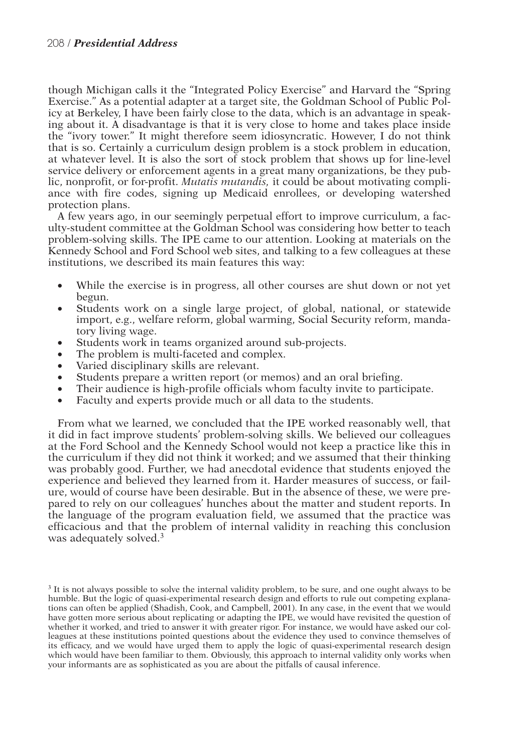though Michigan calls it the "Integrated Policy Exercise" and Harvard the "Spring Exercise." As a potential adapter at a target site, the Goldman School of Public Policy at Berkeley, I have been fairly close to the data, which is an advantage in speaking about it. A disadvantage is that it is very close to home and takes place inside the "ivory tower." It might therefore seem idiosyncratic. However, I do not think that is so. Certainly a curriculum design problem is a stock problem in education, at whatever level. It is also the sort of stock problem that shows up for line-level service delivery or enforcement agents in a great many organizations, be they public, nonprofit, or for-profit. *Mutatis mutandis,* it could be about motivating compliance with fire codes, signing up Medicaid enrollees, or developing watershed protection plans.

A few years ago, in our seemingly perpetual effort to improve curriculum, a faculty-student committee at the Goldman School was considering how better to teach problem-solving skills. The IPE came to our attention. Looking at materials on the Kennedy School and Ford School web sites, and talking to a few colleagues at these institutions, we described its main features this way:

- While the exercise is in progress, all other courses are shut down or not yet begun.
- Students work on a single large project, of global, national, or statewide import, e.g., welfare reform, global warming, Social Security reform, mandatory living wage.
- Students work in teams organized around sub-projects.
- The problem is multi-faceted and complex.
- Varied disciplinary skills are relevant.
- Students prepare a written report (or memos) and an oral briefing.
- Their audience is high-profile officials whom faculty invite to participate.
- Faculty and experts provide much or all data to the students.

From what we learned, we concluded that the IPE worked reasonably well, that it did in fact improve students' problem-solving skills. We believed our colleagues at the Ford School and the Kennedy School would not keep a practice like this in the curriculum if they did not think it worked; and we assumed that their thinking was probably good. Further, we had anecdotal evidence that students enjoyed the experience and believed they learned from it. Harder measures of success, or failure, would of course have been desirable. But in the absence of these, we were prepared to rely on our colleagues' hunches about the matter and student reports. In the language of the program evaluation field, we assumed that the practice was efficacious and that the problem of internal validity in reaching this conclusion was adequately solved.<sup>3</sup>

<sup>&</sup>lt;sup>3</sup> It is not always possible to solve the internal validity problem, to be sure, and one ought always to be humble. But the logic of quasi-experimental research design and efforts to rule out competing explanations can often be applied (Shadish, Cook, and Campbell, 2001). In any case, in the event that we would have gotten more serious about replicating or adapting the IPE, we would have revisited the question of whether it worked, and tried to answer it with greater rigor. For instance, we would have asked our colleagues at these institutions pointed questions about the evidence they used to convince themselves of its efficacy, and we would have urged them to apply the logic of quasi-experimental research design which would have been familiar to them. Obviously, this approach to internal validity only works when your informants are as sophisticated as you are about the pitfalls of causal inference.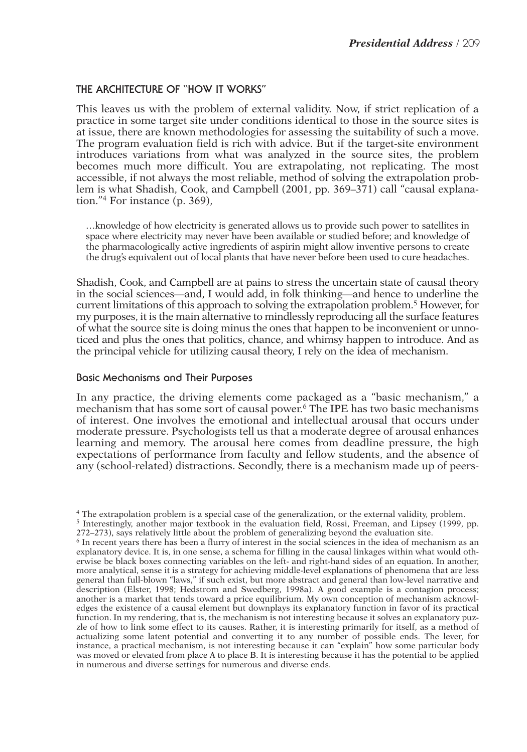## **THE ARCHITECTURE OF "HOW IT WORKS"**

This leaves us with the problem of external validity. Now, if strict replication of a practice in some target site under conditions identical to those in the source sites is at issue, there are known methodologies for assessing the suitability of such a move. The program evaluation field is rich with advice. But if the target-site environment introduces variations from what was analyzed in the source sites, the problem becomes much more difficult. You are extrapolating, not replicating. The most accessible, if not always the most reliable, method of solving the extrapolation problem is what Shadish, Cook, and Campbell (2001, pp. 369–371) call "causal explanation."4 For instance (p. 369),

…knowledge of how electricity is generated allows us to provide such power to satellites in space where electricity may never have been available or studied before; and knowledge of the pharmacologically active ingredients of aspirin might allow inventive persons to create the drug's equivalent out of local plants that have never before been used to cure headaches.

Shadish, Cook, and Campbell are at pains to stress the uncertain state of causal theory in the social sciences—and, I would add, in folk thinking—and hence to underline the current limitations of this approach to solving the extrapolation problem.5 However, for my purposes, it is the main alternative to mindlessly reproducing all the surface features of what the source site is doing minus the ones that happen to be inconvenient or unnoticed and plus the ones that politics, chance, and whimsy happen to introduce. And as the principal vehicle for utilizing causal theory, I rely on the idea of mechanism.

## **Basic Mechanisms and Their Purposes**

In any practice, the driving elements come packaged as a "basic mechanism," a mechanism that has some sort of causal power.<sup>6</sup> The IPE has two basic mechanisms of interest. One involves the emotional and intellectual arousal that occurs under moderate pressure. Psychologists tell us that a moderate degree of arousal enhances learning and memory. The arousal here comes from deadline pressure, the high expectations of performance from faculty and fellow students, and the absence of any (school-related) distractions. Secondly, there is a mechanism made up of peers-

<sup>4</sup> The extrapolation problem is a special case of the generalization, or the external validity, problem.

<sup>5</sup> Interestingly, another major textbook in the evaluation field, Rossi, Freeman, and Lipsey (1999, pp. 272–273), says relatively little about the problem of generalizing beyond the evaluation site.

<sup>6</sup> In recent years there has been a flurry of interest in the social sciences in the idea of mechanism as an explanatory device. It is, in one sense, a schema for filling in the causal linkages within what would otherwise be black boxes connecting variables on the left- and right-hand sides of an equation. In another, more analytical, sense it is a strategy for achieving middle-level explanations of phenomena that are less general than full-blown "laws," if such exist, but more abstract and general than low-level narrative and description (Elster, 1998; Hedstrom and Swedberg, 1998a). A good example is a contagion process; another is a market that tends toward a price equilibrium. My own conception of mechanism acknowledges the existence of a causal element but downplays its explanatory function in favor of its practical function. In my rendering, that is, the mechanism is not interesting because it solves an explanatory puzzle of how to link some effect to its causes. Rather, it is interesting primarily for itself, as a method of actualizing some latent potential and converting it to any number of possible ends. The lever, for instance, a practical mechanism, is not interesting because it can "explain" how some particular body was moved or elevated from place A to place B. It is interesting because it has the potential to be applied in numerous and diverse settings for numerous and diverse ends.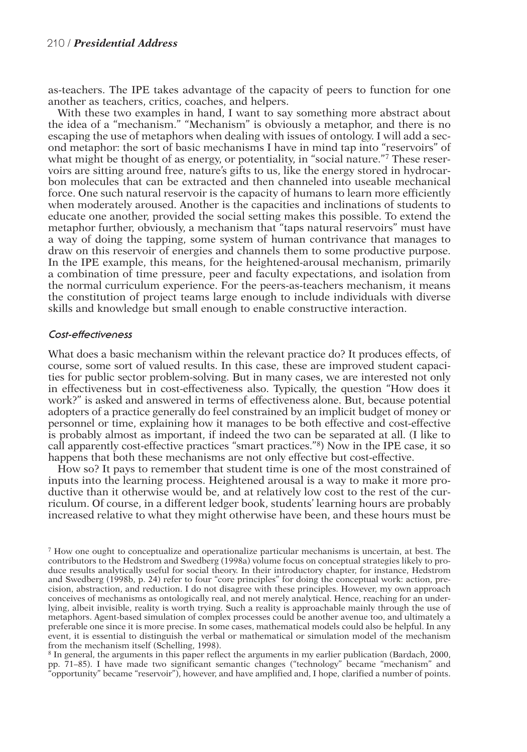as-teachers. The IPE takes advantage of the capacity of peers to function for one another as teachers, critics, coaches, and helpers.

With these two examples in hand, I want to say something more abstract about the idea of a "mechanism." "Mechanism" is obviously a metaphor, and there is no escaping the use of metaphors when dealing with issues of ontology. I will add a second metaphor: the sort of basic mechanisms I have in mind tap into "reservoirs" of what might be thought of as energy, or potentiality, in "social nature."<sup>7</sup> These reservoirs are sitting around free, nature's gifts to us, like the energy stored in hydrocarbon molecules that can be extracted and then channeled into useable mechanical force. One such natural reservoir is the capacity of humans to learn more efficiently when moderately aroused. Another is the capacities and inclinations of students to educate one another, provided the social setting makes this possible. To extend the metaphor further, obviously, a mechanism that "taps natural reservoirs" must have a way of doing the tapping, some system of human contrivance that manages to draw on this reservoir of energies and channels them to some productive purpose. In the IPE example, this means, for the heightened-arousal mechanism, primarily a combination of time pressure, peer and faculty expectations, and isolation from the normal curriculum experience. For the peers-as-teachers mechanism, it means the constitution of project teams large enough to include individuals with diverse skills and knowledge but small enough to enable constructive interaction.

### **Cost-effectiveness**

What does a basic mechanism within the relevant practice do? It produces effects, of course, some sort of valued results. In this case, these are improved student capacities for public sector problem-solving. But in many cases, we are interested not only in effectiveness but in cost-effectiveness also. Typically, the question "How does it work?" is asked and answered in terms of effectiveness alone. But, because potential adopters of a practice generally do feel constrained by an implicit budget of money or personnel or time, explaining how it manages to be both effective and cost-effective is probably almost as important, if indeed the two can be separated at all. (I like to call apparently cost-effective practices "smart practices."8) Now in the IPE case, it so happens that both these mechanisms are not only effective but cost-effective.

How so? It pays to remember that student time is one of the most constrained of inputs into the learning process. Heightened arousal is a way to make it more productive than it otherwise would be, and at relatively low cost to the rest of the curriculum. Of course, in a different ledger book, students' learning hours are probably increased relative to what they might otherwise have been, and these hours must be

<sup>7</sup> How one ought to conceptualize and operationalize particular mechanisms is uncertain, at best. The contributors to the Hedstrom and Swedberg (1998a) volume focus on conceptual strategies likely to produce results analytically useful for social theory. In their introductory chapter, for instance, Hedstrom and Swedberg (1998b, p. 24) refer to four "core principles" for doing the conceptual work: action, precision, abstraction, and reduction. I do not disagree with these principles. However, my own approach conceives of mechanisms as ontologically real, and not merely analytical. Hence, reaching for an underlying, albeit invisible, reality is worth trying. Such a reality is approachable mainly through the use of metaphors. Agent-based simulation of complex processes could be another avenue too, and ultimately a preferable one since it is more precise. In some cases, mathematical models could also be helpful. In any event, it is essential to distinguish the verbal or mathematical or simulation model of the mechanism from the mechanism itself (Schelling, 1998).

<sup>8</sup> In general, the arguments in this paper reflect the arguments in my earlier publication (Bardach, 2000, pp. 71–85). I have made two significant semantic changes ("technology" became "mechanism" and "opportunity" became "reservoir"), however, and have amplified and, I hope, clarified a number of points.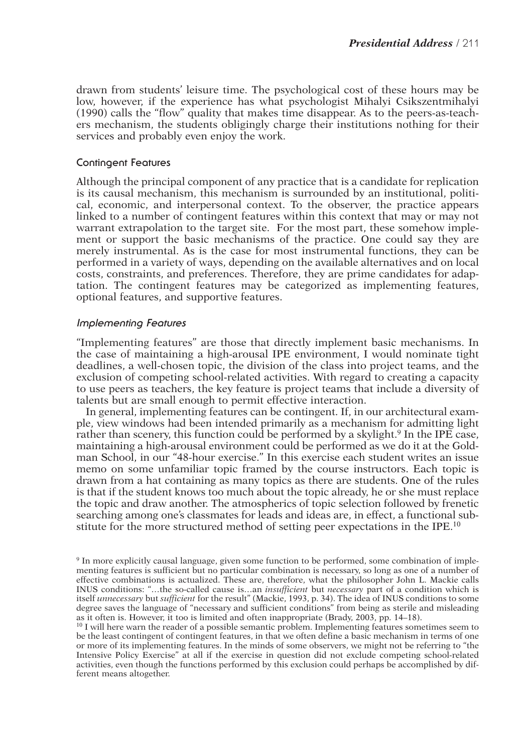drawn from students' leisure time. The psychological cost of these hours may be low, however, if the experience has what psychologist Mihalyi Csikszentmihalyi (1990) calls the "flow" quality that makes time disappear. As to the peers-as-teachers mechanism, the students obligingly charge their institutions nothing for their services and probably even enjoy the work.

#### **Contingent Features**

Although the principal component of any practice that is a candidate for replication is its causal mechanism, this mechanism is surrounded by an institutional, political, economic, and interpersonal context. To the observer, the practice appears linked to a number of contingent features within this context that may or may not warrant extrapolation to the target site. For the most part, these somehow implement or support the basic mechanisms of the practice. One could say they are merely instrumental. As is the case for most instrumental functions, they can be performed in a variety of ways, depending on the available alternatives and on local costs, constraints, and preferences. Therefore, they are prime candidates for adaptation. The contingent features may be categorized as implementing features, optional features, and supportive features.

#### **Implementing Features**

"Implementing features" are those that directly implement basic mechanisms. In the case of maintaining a high-arousal IPE environment, I would nominate tight deadlines, a well-chosen topic, the division of the class into project teams, and the exclusion of competing school-related activities. With regard to creating a capacity to use peers as teachers, the key feature is project teams that include a diversity of talents but are small enough to permit effective interaction.

In general, implementing features can be contingent. If, in our architectural example, view windows had been intended primarily as a mechanism for admitting light rather than scenery, this function could be performed by a skylight.<sup>9</sup> In the IPE case, maintaining a high-arousal environment could be performed as we do it at the Goldman School, in our "48-hour exercise." In this exercise each student writes an issue memo on some unfamiliar topic framed by the course instructors. Each topic is drawn from a hat containing as many topics as there are students. One of the rules is that if the student knows too much about the topic already, he or she must replace the topic and draw another. The atmospherics of topic selection followed by frenetic searching among one's classmates for leads and ideas are, in effect, a functional substitute for the more structured method of setting peer expectations in the IPE.<sup>10</sup>

<sup>9</sup> In more explicitly causal language, given some function to be performed, some combination of implementing features is sufficient but no particular combination is necessary, so long as one of a number of effective combinations is actualized. These are, therefore, what the philosopher John L. Mackie calls INUS conditions: "…the so-called cause is…an *insufficient* but *necessary* part of a condition which is itself *unnecessary* but *sufficient* for the result" (Mackie, 1993, p. 34). The idea of INUS conditions to some degree saves the language of "necessary and sufficient conditions" from being as sterile and misleading as it often is. However, it too is limited and often inappropriate (Brady, 2003, pp. 14–18).

<sup>&</sup>lt;sup>10</sup> I will here warn the reader of a possible semantic problem. Implementing features sometimes seem to be the least contingent of contingent features, in that we often define a basic mechanism in terms of one or more of its implementing features. In the minds of some observers, we might not be referring to "the Intensive Policy Exercise" at all if the exercise in question did not exclude competing school-related activities, even though the functions performed by this exclusion could perhaps be accomplished by different means altogether.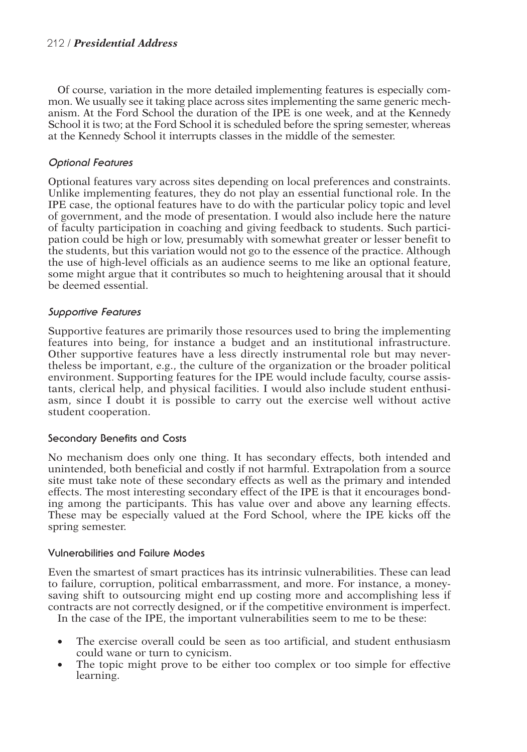## 212 / *Presidential Address*

Of course, variation in the more detailed implementing features is especially common. We usually see it taking place across sites implementing the same generic mechanism. At the Ford School the duration of the IPE is one week, and at the Kennedy School it is two; at the Ford School it is scheduled before the spring semester, whereas at the Kennedy School it interrupts classes in the middle of the semester.

## **Optional Features**

Optional features vary across sites depending on local preferences and constraints. Unlike implementing features, they do not play an essential functional role. In the IPE case, the optional features have to do with the particular policy topic and level of government, and the mode of presentation. I would also include here the nature of faculty participation in coaching and giving feedback to students. Such participation could be high or low, presumably with somewhat greater or lesser benefit to the students, but this variation would not go to the essence of the practice. Although the use of high-level officials as an audience seems to me like an optional feature, some might argue that it contributes so much to heightening arousal that it should be deemed essential.

## **Supportive Features**

Supportive features are primarily those resources used to bring the implementing features into being, for instance a budget and an institutional infrastructure. Other supportive features have a less directly instrumental role but may nevertheless be important, e.g., the culture of the organization or the broader political environment. Supporting features for the IPE would include faculty, course assistants, clerical help, and physical facilities. I would also include student enthusiasm, since I doubt it is possible to carry out the exercise well without active student cooperation.

## **Secondary Benefits and Costs**

No mechanism does only one thing. It has secondary effects, both intended and unintended, both beneficial and costly if not harmful. Extrapolation from a source site must take note of these secondary effects as well as the primary and intended effects. The most interesting secondary effect of the IPE is that it encourages bonding among the participants. This has value over and above any learning effects. These may be especially valued at the Ford School, where the IPE kicks off the spring semester.

## **Vulnerabilities and Failure Modes**

Even the smartest of smart practices has its intrinsic vulnerabilities. These can lead to failure, corruption, political embarrassment, and more. For instance, a moneysaving shift to outsourcing might end up costing more and accomplishing less if contracts are not correctly designed, or if the competitive environment is imperfect.

In the case of the IPE, the important vulnerabilities seem to me to be these:

- The exercise overall could be seen as too artificial, and student enthusiasm could wane or turn to cynicism.
- The topic might prove to be either too complex or too simple for effective learning.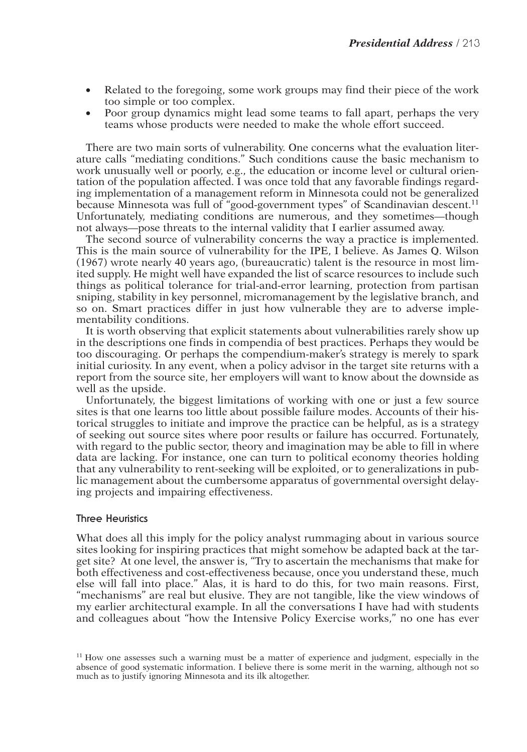- Related to the foregoing, some work groups may find their piece of the work too simple or too complex.
- Poor group dynamics might lead some teams to fall apart, perhaps the very teams whose products were needed to make the whole effort succeed.

There are two main sorts of vulnerability. One concerns what the evaluation literature calls "mediating conditions." Such conditions cause the basic mechanism to work unusually well or poorly, e.g., the education or income level or cultural orientation of the population affected. I was once told that any favorable findings regarding implementation of a management reform in Minnesota could not be generalized because Minnesota was full of "good-government types" of Scandinavian descent.11 Unfortunately, mediating conditions are numerous, and they sometimes—though not always—pose threats to the internal validity that I earlier assumed away.

The second source of vulnerability concerns the way a practice is implemented. This is the main source of vulnerability for the IPE, I believe. As James Q. Wilson (1967) wrote nearly 40 years ago, (bureaucratic) talent is the resource in most limited supply. He might well have expanded the list of scarce resources to include such things as political tolerance for trial-and-error learning, protection from partisan sniping, stability in key personnel, micromanagement by the legislative branch, and so on. Smart practices differ in just how vulnerable they are to adverse implementability conditions.

It is worth observing that explicit statements about vulnerabilities rarely show up in the descriptions one finds in compendia of best practices. Perhaps they would be too discouraging. Or perhaps the compendium-maker's strategy is merely to spark initial curiosity. In any event, when a policy advisor in the target site returns with a report from the source site, her employers will want to know about the downside as well as the upside.

Unfortunately, the biggest limitations of working with one or just a few source sites is that one learns too little about possible failure modes. Accounts of their historical struggles to initiate and improve the practice can be helpful, as is a strategy of seeking out source sites where poor results or failure has occurred. Fortunately, with regard to the public sector, theory and imagination may be able to fill in where data are lacking. For instance, one can turn to political economy theories holding that any vulnerability to rent-seeking will be exploited, or to generalizations in public management about the cumbersome apparatus of governmental oversight delaying projects and impairing effectiveness.

#### **Three Heuristics**

What does all this imply for the policy analyst rummaging about in various source sites looking for inspiring practices that might somehow be adapted back at the target site? At one level, the answer is, "Try to ascertain the mechanisms that make for both effectiveness and cost-effectiveness because, once you understand these, much else will fall into place." Alas, it is hard to do this, for two main reasons. First, "mechanisms" are real but elusive. They are not tangible, like the view windows of my earlier architectural example. In all the conversations I have had with students and colleagues about "how the Intensive Policy Exercise works," no one has ever

<sup>&</sup>lt;sup>11</sup> How one assesses such a warning must be a matter of experience and judgment, especially in the absence of good systematic information. I believe there is some merit in the warning, although not so much as to justify ignoring Minnesota and its ilk altogether.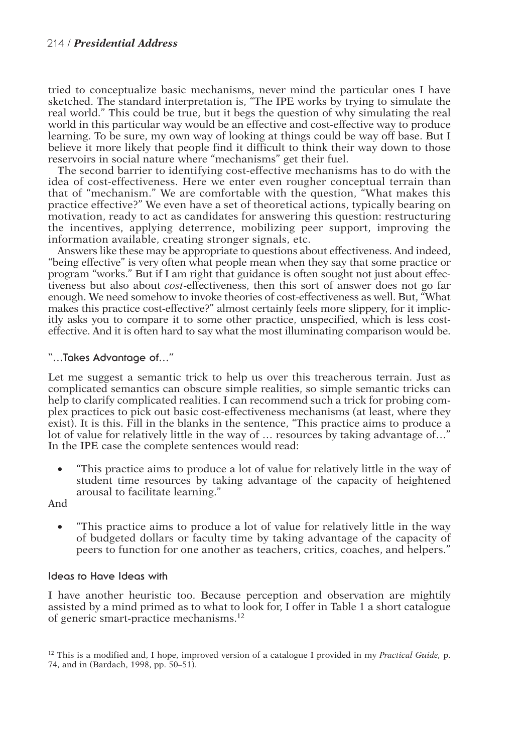tried to conceptualize basic mechanisms, never mind the particular ones I have sketched. The standard interpretation is, "The IPE works by trying to simulate the real world." This could be true, but it begs the question of why simulating the real world in this particular way would be an effective and cost-effective way to produce learning. To be sure, my own way of looking at things could be way off base. But I believe it more likely that people find it difficult to think their way down to those reservoirs in social nature where "mechanisms" get their fuel.

The second barrier to identifying cost-effective mechanisms has to do with the idea of cost-effectiveness. Here we enter even rougher conceptual terrain than that of "mechanism." We are comfortable with the question, "What makes this practice effective?" We even have a set of theoretical actions, typically bearing on motivation, ready to act as candidates for answering this question: restructuring the incentives, applying deterrence, mobilizing peer support, improving the information available, creating stronger signals, etc.

Answers like these may be appropriate to questions about effectiveness. And indeed, "being effective" is very often what people mean when they say that some practice or program "works." But if I am right that guidance is often sought not just about effectiveness but also about *cost*-effectiveness, then this sort of answer does not go far enough. We need somehow to invoke theories of cost-effectiveness as well. But, "What makes this practice cost-effective?" almost certainly feels more slippery, for it implicitly asks you to compare it to some other practice, unspecified, which is less costeffective. And it is often hard to say what the most illuminating comparison would be.

### **"…Takes Advantage of…"**

Let me suggest a semantic trick to help us over this treacherous terrain. Just as complicated semantics can obscure simple realities, so simple semantic tricks can help to clarify complicated realities. I can recommend such a trick for probing complex practices to pick out basic cost-effectiveness mechanisms (at least, where they exist). It is this. Fill in the blanks in the sentence, "This practice aims to produce a lot of value for relatively little in the way of … resources by taking advantage of…" In the IPE case the complete sentences would read:

• "This practice aims to produce a lot of value for relatively little in the way of student time resources by taking advantage of the capacity of heightened arousal to facilitate learning."

And

• "This practice aims to produce a lot of value for relatively little in the way of budgeted dollars or faculty time by taking advantage of the capacity of peers to function for one another as teachers, critics, coaches, and helpers."

#### **Ideas to Have Ideas with**

I have another heuristic too. Because perception and observation are mightily assisted by a mind primed as to what to look for, I offer in Table 1 a short catalogue of generic smart-practice mechanisms.12

<sup>12</sup> This is a modified and, I hope, improved version of a catalogue I provided in my *Practical Guide,* p. 74, and in (Bardach, 1998, pp. 50–51).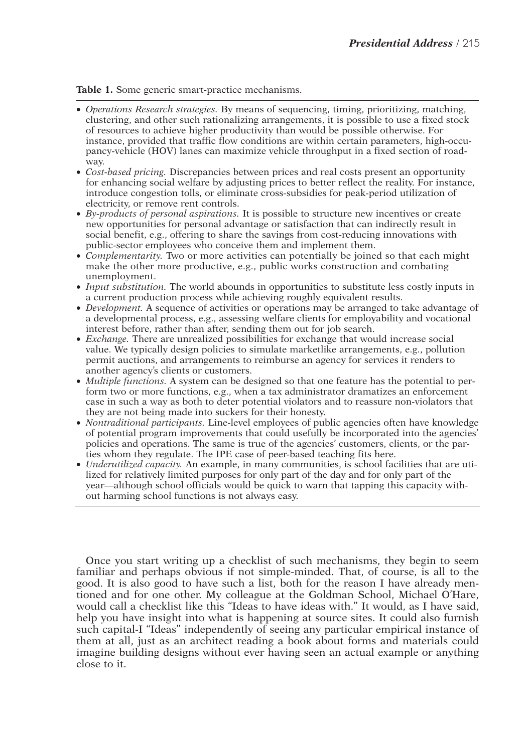**Table 1.** Some generic smart-practice mechanisms.

- *Operations Research strategies.* By means of sequencing, timing, prioritizing, matching, clustering, and other such rationalizing arrangements, it is possible to use a fixed stock of resources to achieve higher productivity than would be possible otherwise. For instance, provided that traffic flow conditions are within certain parameters, high-occupancy-vehicle (HOV) lanes can maximize vehicle throughput in a fixed section of roadway.
- *Cost-based pricing.* Discrepancies between prices and real costs present an opportunity for enhancing social welfare by adjusting prices to better reflect the reality. For instance, introduce congestion tolls, or eliminate cross-subsidies for peak-period utilization of electricity, or remove rent controls.
- *By-products of personal aspirations.* It is possible to structure new incentives or create new opportunities for personal advantage or satisfaction that can indirectly result in social benefit, e.g., offering to share the savings from cost-reducing innovations with public-sector employees who conceive them and implement them.
- *Complementarity.* Two or more activities can potentially be joined so that each might make the other more productive, e.g., public works construction and combating unemployment.
- *Input substitution*. The world abounds in opportunities to substitute less costly inputs in a current production process while achieving roughly equivalent results.
- *Development.* A sequence of activities or operations may be arranged to take advantage of a developmental process, e.g., assessing welfare clients for employability and vocational interest before, rather than after, sending them out for job search.
- *Exchange.* There are unrealized possibilities for exchange that would increase social value. We typically design policies to simulate marketlike arrangements, e.g., pollution permit auctions, and arrangements to reimburse an agency for services it renders to another agency's clients or customers.
- *Multiple functions.* A system can be designed so that one feature has the potential to perform two or more functions, e.g., when a tax administrator dramatizes an enforcement case in such a way as both to deter potential violators and to reassure non-violators that they are not being made into suckers for their honesty.
- *Nontraditional participants.* Line-level employees of public agencies often have knowledge of potential program improvements that could usefully be incorporated into the agencies' policies and operations. The same is true of the agencies' customers, clients, or the parties whom they regulate. The IPE case of peer-based teaching fits here.
- *Underutilized capacity.* An example, in many communities, is school facilities that are utilized for relatively limited purposes for only part of the day and for only part of the year—although school officials would be quick to warn that tapping this capacity without harming school functions is not always easy.

Once you start writing up a checklist of such mechanisms, they begin to seem familiar and perhaps obvious if not simple-minded. That, of course, is all to the good. It is also good to have such a list, both for the reason I have already mentioned and for one other. My colleague at the Goldman School, Michael O'Hare, would call a checklist like this "Ideas to have ideas with." It would, as I have said, help you have insight into what is happening at source sites. It could also furnish such capital-I "Ideas" independently of seeing any particular empirical instance of them at all, just as an architect reading a book about forms and materials could imagine building designs without ever having seen an actual example or anything close to it.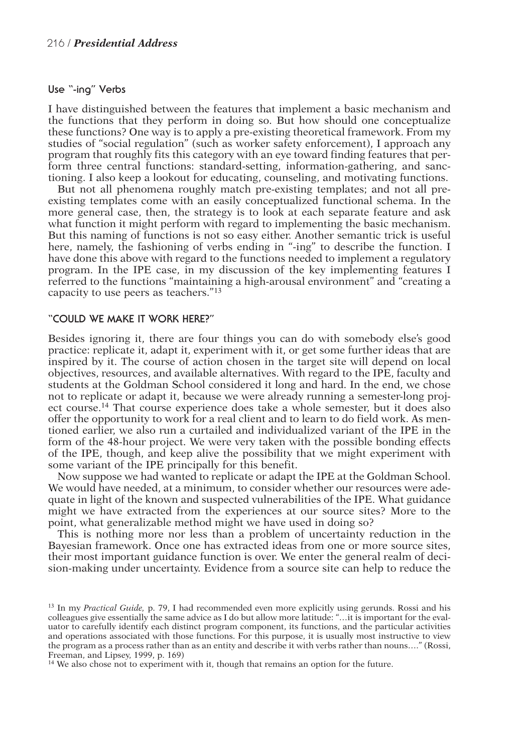### **Use "-ing" Verbs**

I have distinguished between the features that implement a basic mechanism and the functions that they perform in doing so. But how should one conceptualize these functions? One way is to apply a pre-existing theoretical framework. From my studies of "social regulation" (such as worker safety enforcement), I approach any program that roughly fits this category with an eye toward finding features that perform three central functions: standard-setting, information-gathering, and sanctioning. I also keep a lookout for educating, counseling, and motivating functions.

But not all phenomena roughly match pre-existing templates; and not all preexisting templates come with an easily conceptualized functional schema. In the more general case, then, the strategy is to look at each separate feature and ask what function it might perform with regard to implementing the basic mechanism. But this naming of functions is not so easy either. Another semantic trick is useful here, namely, the fashioning of verbs ending in "-ing" to describe the function. I have done this above with regard to the functions needed to implement a regulatory program. In the IPE case, in my discussion of the key implementing features I referred to the functions "maintaining a high-arousal environment" and "creating a capacity to use peers as teachers."13

#### **"COULD WE MAKE IT WORK HERE?"**

Besides ignoring it, there are four things you can do with somebody else's good practice: replicate it, adapt it, experiment with it, or get some further ideas that are inspired by it. The course of action chosen in the target site will depend on local objectives, resources, and available alternatives. With regard to the IPE, faculty and students at the Goldman School considered it long and hard. In the end, we chose not to replicate or adapt it, because we were already running a semester-long project course.14 That course experience does take a whole semester, but it does also offer the opportunity to work for a real client and to learn to do field work. As mentioned earlier, we also run a curtailed and individualized variant of the IPE in the form of the 48-hour project. We were very taken with the possible bonding effects of the IPE, though, and keep alive the possibility that we might experiment with some variant of the IPE principally for this benefit.

Now suppose we had wanted to replicate or adapt the IPE at the Goldman School. We would have needed, at a minimum, to consider whether our resources were adequate in light of the known and suspected vulnerabilities of the IPE. What guidance might we have extracted from the experiences at our source sites? More to the point, what generalizable method might we have used in doing so?

This is nothing more nor less than a problem of uncertainty reduction in the Bayesian framework. Once one has extracted ideas from one or more source sites, their most important guidance function is over. We enter the general realm of decision-making under uncertainty. Evidence from a source site can help to reduce the

<sup>13</sup> In my *Practical Guide,* p. 79, I had recommended even more explicitly using gerunds. Rossi and his colleagues give essentially the same advice as I do but allow more latitude: "…it is important for the evaluator to carefully identify each distinct program component, its functions, and the particular activities and operations associated with those functions. For this purpose, it is usually most instructive to view the program as a process rather than as an entity and describe it with verbs rather than nouns…." (Rossi, Freeman, and Lipsey, 1999, p. 169)

<sup>&</sup>lt;sup>14</sup> We also chose not to experiment with it, though that remains an option for the future.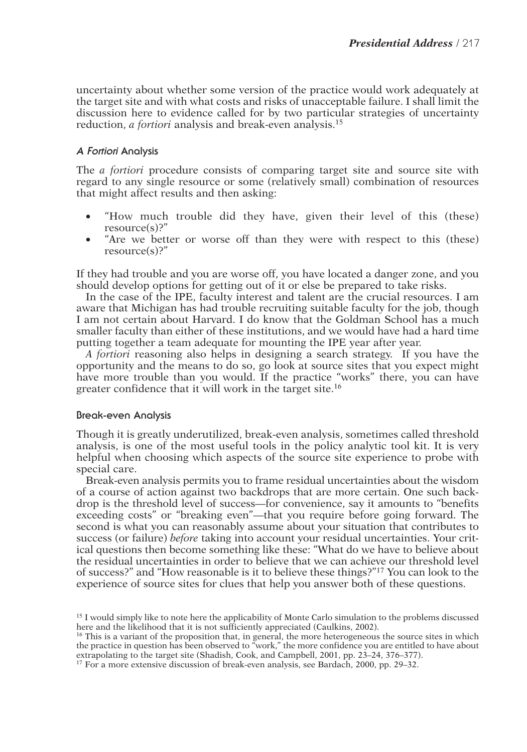uncertainty about whether some version of the practice would work adequately at the target site and with what costs and risks of unacceptable failure. I shall limit the discussion here to evidence called for by two particular strategies of uncertainty reduction, *a fortiori* analysis and break-even analysis.15

## **A Fortiori Analysis**

The *a fortiori* procedure consists of comparing target site and source site with regard to any single resource or some (relatively small) combination of resources that might affect results and then asking:

- "How much trouble did they have, given their level of this (these) resource(s)?"
- "Are we better or worse off than they were with respect to this (these) resource(s)?"

If they had trouble and you are worse off, you have located a danger zone, and you should develop options for getting out of it or else be prepared to take risks.

In the case of the IPE, faculty interest and talent are the crucial resources. I am aware that Michigan has had trouble recruiting suitable faculty for the job, though I am not certain about Harvard. I do know that the Goldman School has a much smaller faculty than either of these institutions, and we would have had a hard time putting together a team adequate for mounting the IPE year after year.

*A fortiori* reasoning also helps in designing a search strategy. If you have the opportunity and the means to do so, go look at source sites that you expect might have more trouble than you would. If the practice "works" there, you can have greater confidence that it will work in the target site.16

#### **Break-even Analysis**

Though it is greatly underutilized, break-even analysis, sometimes called threshold analysis, is one of the most useful tools in the policy analytic tool kit. It is very helpful when choosing which aspects of the source site experience to probe with special care.

Break-even analysis permits you to frame residual uncertainties about the wisdom of a course of action against two backdrops that are more certain. One such backdrop is the threshold level of success—for convenience, say it amounts to "benefits exceeding costs" or "breaking even"—that you require before going forward. The second is what you can reasonably assume about your situation that contributes to success (or failure) *before* taking into account your residual uncertainties. Your critical questions then become something like these: "What do we have to believe about the residual uncertainties in order to believe that we can achieve our threshold level of success?" and "How reasonable is it to believe these things?"17 You can look to the experience of source sites for clues that help you answer both of these questions.

<sup>&</sup>lt;sup>15</sup> I would simply like to note here the applicability of Monte Carlo simulation to the problems discussed here and the likelihood that it is not sufficiently appreciated (Caulkins, 2002).

<sup>&</sup>lt;sup>16</sup> This is a variant of the proposition that, in general, the more heterogeneous the source sites in which the practice in question has been observed to "work," the more confidence you are entitled to have about extrapolating to the target site (Shadish, Cook, and Campbell, 2001, pp. 23–24, 376–377).

<sup>17</sup> For a more extensive discussion of break-even analysis, see Bardach, 2000, pp. 29–32.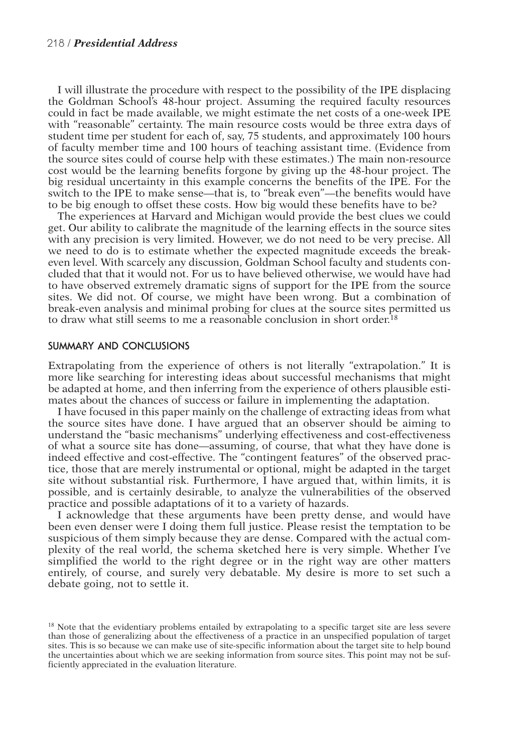### 218 / *Presidential Address*

I will illustrate the procedure with respect to the possibility of the IPE displacing the Goldman School's 48-hour project. Assuming the required faculty resources could in fact be made available, we might estimate the net costs of a one-week IPE with "reasonable" certainty. The main resource costs would be three extra days of student time per student for each of, say, 75 students, and approximately 100 hours of faculty member time and 100 hours of teaching assistant time. (Evidence from the source sites could of course help with these estimates.) The main non-resource cost would be the learning benefits forgone by giving up the 48-hour project. The big residual uncertainty in this example concerns the benefits of the IPE. For the switch to the IPE to make sense—that is, to "break even"—the benefits would have to be big enough to offset these costs. How big would these benefits have to be?

The experiences at Harvard and Michigan would provide the best clues we could get. Our ability to calibrate the magnitude of the learning effects in the source sites with any precision is very limited. However, we do not need to be very precise. All we need to do is to estimate whether the expected magnitude exceeds the breakeven level. With scarcely any discussion, Goldman School faculty and students concluded that that it would not. For us to have believed otherwise, we would have had to have observed extremely dramatic signs of support for the IPE from the source sites. We did not. Of course, we might have been wrong. But a combination of break-even analysis and minimal probing for clues at the source sites permitted us to draw what still seems to me a reasonable conclusion in short order.18

#### **SUMMARY AND CONCLUSIONS**

Extrapolating from the experience of others is not literally "extrapolation." It is more like searching for interesting ideas about successful mechanisms that might be adapted at home, and then inferring from the experience of others plausible estimates about the chances of success or failure in implementing the adaptation.

I have focused in this paper mainly on the challenge of extracting ideas from what the source sites have done. I have argued that an observer should be aiming to understand the "basic mechanisms" underlying effectiveness and cost-effectiveness of what a source site has done—assuming, of course, that what they have done is indeed effective and cost-effective. The "contingent features" of the observed practice, those that are merely instrumental or optional, might be adapted in the target site without substantial risk. Furthermore, I have argued that, within limits, it is possible, and is certainly desirable, to analyze the vulnerabilities of the observed practice and possible adaptations of it to a variety of hazards.

I acknowledge that these arguments have been pretty dense, and would have been even denser were I doing them full justice. Please resist the temptation to be suspicious of them simply because they are dense. Compared with the actual complexity of the real world, the schema sketched here is very simple. Whether I've simplified the world to the right degree or in the right way are other matters entirely, of course, and surely very debatable. My desire is more to set such a debate going, not to settle it.

<sup>&</sup>lt;sup>18</sup> Note that the evidentiary problems entailed by extrapolating to a specific target site are less severe than those of generalizing about the effectiveness of a practice in an unspecified population of target sites. This is so because we can make use of site-specific information about the target site to help bound the uncertainties about which we are seeking information from source sites. This point may not be sufficiently appreciated in the evaluation literature.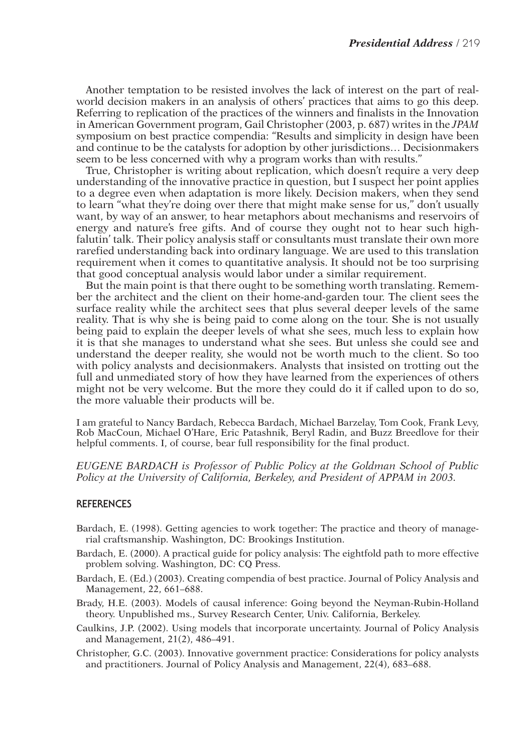Another temptation to be resisted involves the lack of interest on the part of realworld decision makers in an analysis of others' practices that aims to go this deep. Referring to replication of the practices of the winners and finalists in the Innovation in American Government program, Gail Christopher (2003, p. 687) writes in the *JPAM* symposium on best practice compendia: "Results and simplicity in design have been and continue to be the catalysts for adoption by other jurisdictions… Decisionmakers seem to be less concerned with why a program works than with results."

True, Christopher is writing about replication, which doesn't require a very deep understanding of the innovative practice in question, but I suspect her point applies to a degree even when adaptation is more likely. Decision makers, when they send to learn "what they're doing over there that might make sense for us," don't usually want, by way of an answer, to hear metaphors about mechanisms and reservoirs of energy and nature's free gifts. And of course they ought not to hear such highfalutin' talk. Their policy analysis staff or consultants must translate their own more rarefied understanding back into ordinary language. We are used to this translation requirement when it comes to quantitative analysis. It should not be too surprising that good conceptual analysis would labor under a similar requirement.

But the main point is that there ought to be something worth translating. Remember the architect and the client on their home-and-garden tour. The client sees the surface reality while the architect sees that plus several deeper levels of the same reality. That is why she is being paid to come along on the tour. She is not usually being paid to explain the deeper levels of what she sees, much less to explain how it is that she manages to understand what she sees. But unless she could see and understand the deeper reality, she would not be worth much to the client. So too with policy analysts and decisionmakers. Analysts that insisted on trotting out the full and unmediated story of how they have learned from the experiences of others might not be very welcome. But the more they could do it if called upon to do so, the more valuable their products will be.

I am grateful to Nancy Bardach, Rebecca Bardach, Michael Barzelay, Tom Cook, Frank Levy, Rob MacCoun, Michael O'Hare, Eric Patashnik, Beryl Radin, and Buzz Breedlove for their helpful comments. I, of course, bear full responsibility for the final product.

*EUGENE BARDACH is Professor of Public Policy at the Goldman School of Public Policy at the University of California, Berkeley, and President of APPAM in 2003.* 

#### **REFERENCES**

- Bardach, E. (1998). Getting agencies to work together: The practice and theory of managerial craftsmanship. Washington, DC: Brookings Institution.
- Bardach, E. (2000). A practical guide for policy analysis: The eightfold path to more effective problem solving. Washington, DC: CQ Press.
- Bardach, E. (Ed.) (2003). Creating compendia of best practice. Journal of Policy Analysis and Management, 22, 661–688.
- Brady, H.E. (2003). Models of causal inference: Going beyond the Neyman-Rubin-Holland theory. Unpublished ms., Survey Research Center, Univ. California, Berkeley.
- Caulkins, J.P. (2002). Using models that incorporate uncertainty. Journal of Policy Analysis and Management, 21(2), 486–491.
- Christopher, G.C. (2003). Innovative government practice: Considerations for policy analysts and practitioners. Journal of Policy Analysis and Management, 22(4), 683–688.